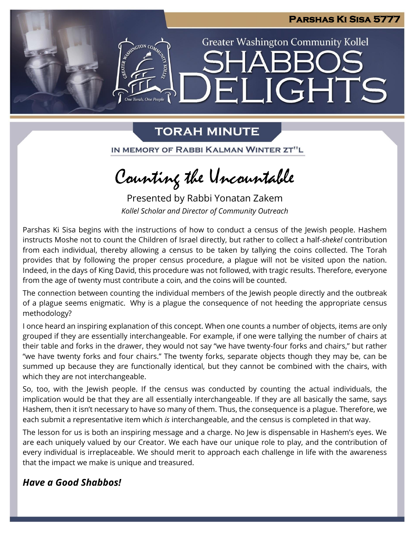

## **TORAH MINUTE**

IN MEMORY OF RABBI KALMAN WINTER ZT"L

Counting the Uncountable

Presented by Rabbi Yonatan Zakem *Kollel Scholar and Director of Community Outreach*

Parshas Ki Sisa begins with the instructions of how to conduct a census of the Jewish people. Hashem instructs Moshe not to count the Children of Israel directly, but rather to collect a half-*shekel* contribution from each individual, thereby allowing a census to be taken by tallying the coins collected. The Torah provides that by following the proper census procedure, a plague will not be visited upon the nation. Indeed, in the days of King David, this procedure was not followed, with tragic results. Therefore, everyone from the age of twenty must contribute a coin, and the coins will be counted.

The connection between counting the individual members of the Jewish people directly and the outbreak of a plague seems enigmatic. Why is a plague the consequence of not heeding the appropriate census methodology?

I once heard an inspiring explanation of this concept. When one counts a number of objects, items are only grouped if they are essentially interchangeable. For example, if one were tallying the number of chairs at their table and forks in the drawer, they would not say "we have twenty-four forks and chairs," but rather "we have twenty forks and four chairs." The twenty forks, separate objects though they may be, can be summed up because they are functionally identical, but they cannot be combined with the chairs, with which they are not interchangeable.

So, too, with the Jewish people. If the census was conducted by counting the actual individuals, the implication would be that they are all essentially interchangeable. If they are all basically the same, says Hashem, then it isn't necessary to have so many of them. Thus, the consequence is a plague. Therefore, we each submit a representative item which *is* interchangeable, and the census is completed in that way.

The lesson for us is both an inspiring message and a charge. No Jew is dispensable in Hashem's eyes. We are each uniquely valued by our Creator. We each have our unique role to play, and the contribution of every individual is irreplaceable. We should merit to approach each challenge in life with the awareness that the impact we make is unique and treasured.

## *Have a Good Shabbos!*